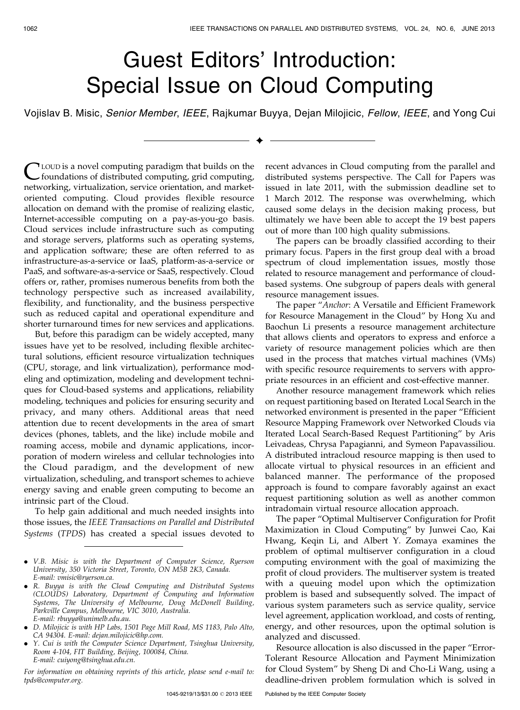## Guest Editors' Introduction: Special Issue on Cloud Computing

Vojislav B. Misic, Senior Member, IEEE, Rajkumar Buyya, Dejan Milojicic, Fellow, IEEE, and Yong Cui

 $\ddotmark$ 

CLOUD is a novel computing paradigm that builds on the foundations of distributed computing, grid computing, networking, virtualization, service orientation, and marketoriented computing. Cloud provides flexible resource allocation on demand with the promise of realizing elastic, Internet-accessible computing on a pay-as-you-go basis. Cloud services include infrastructure such as computing and storage servers, platforms such as operating systems, and application software; these are often referred to as infrastructure-as-a-service or IaaS, platform-as-a-service or PaaS, and software-as-a-service or SaaS, respectively. Cloud offers or, rather, promises numerous benefits from both the technology perspective such as increased availability, flexibility, and functionality, and the business perspective such as reduced capital and operational expenditure and shorter turnaround times for new services and applications.

But, before this paradigm can be widely accepted, many issues have yet to be resolved, including flexible architectural solutions, efficient resource virtualization techniques (CPU, storage, and link virtualization), performance modeling and optimization, modeling and development techniques for Cloud-based systems and applications, reliability modeling, techniques and policies for ensuring security and privacy, and many others. Additional areas that need attention due to recent developments in the area of smart devices (phones, tablets, and the like) include mobile and roaming access, mobile and dynamic applications, incorporation of modern wireless and cellular technologies into the Cloud paradigm, and the development of new virtualization, scheduling, and transport schemes to achieve energy saving and enable green computing to become an intrinsic part of the Cloud.

To help gain additional and much needed insights into those issues, the IEEE Transactions on Parallel and Distributed Systems (TPDS) has created a special issues devoted to

- . V.B. Misic is with the Department of Computer Science, Ryerson University, 350 Victoria Street, Toronto, ON M5B 2K3, Canada. E-mail: vmisic@ryerson.ca.
- . R. Buyya is with the Cloud Computing and Distributed Systems (CLOUDS) Laboratory, Department of Computing and Information Systems, The University of Melbourne, Doug McDonell Building, Parkville Campus, Melbourne, VIC 3010, Australia. E-mail: rbuyya@unimelb.edu.au.
- . D. Milojicic is with HP Labs, 1501 Page Mill Road, MS 1183, Palo Alto, CA 94304. E-mail: dejan.milojicic@hp.com.
- . Y. Cui is with the Computer Science Department, Tsinghua University, Room 4-104, FIT Building, Beijing, 100084, China. E-mail: cuiyong@tsinghua.edu.cn.

For information on obtaining reprints of this article, please send e-mail to: tpds@computer.org.

recent advances in Cloud computing from the parallel and distributed systems perspective. The Call for Papers was issued in late 2011, with the submission deadline set to 1 March 2012. The response was overwhelming, which caused some delays in the decision making process, but ultimately we have been able to accept the 19 best papers out of more than 100 high quality submissions.

The papers can be broadly classified according to their primary focus. Papers in the first group deal with a broad spectrum of cloud implementation issues, mostly those related to resource management and performance of cloudbased systems. One subgroup of papers deals with general resource management issues.

The paper "Anchor: A Versatile and Efficient Framework for Resource Management in the Cloud" by Hong Xu and Baochun Li presents a resource management architecture that allows clients and operators to express and enforce a variety of resource management policies which are then used in the process that matches virtual machines (VMs) with specific resource requirements to servers with appropriate resources in an efficient and cost-effective manner.

Another resource management framework which relies on request partitioning based on Iterated Local Search in the networked environment is presented in the paper "Efficient Resource Mapping Framework over Networked Clouds via Iterated Local Search-Based Request Partitioning" by Aris Leivadeas, Chrysa Papagianni, and Symeon Papavassiliou. A distributed intracloud resource mapping is then used to allocate virtual to physical resources in an efficient and balanced manner. The performance of the proposed approach is found to compare favorably against an exact request partitioning solution as well as another common intradomain virtual resource allocation approach.

The paper "Optimal Multiserver Configuration for Profit Maximization in Cloud Computing" by Junwei Cao, Kai Hwang, Keqin Li, and Albert Y. Zomaya examines the problem of optimal multiserver configuration in a cloud computing environment with the goal of maximizing the profit of cloud providers. The multiserver system is treated with a queuing model upon which the optimization problem is based and subsequently solved. The impact of various system parameters such as service quality, service level agreement, application workload, and costs of renting, energy, and other resources, upon the optimal solution is analyzed and discussed.

Resource allocation is also discussed in the paper "Error-Tolerant Resource Allocation and Payment Minimization for Cloud System" by Sheng Di and Cho-Li Wang, using a deadline-driven problem formulation which is solved in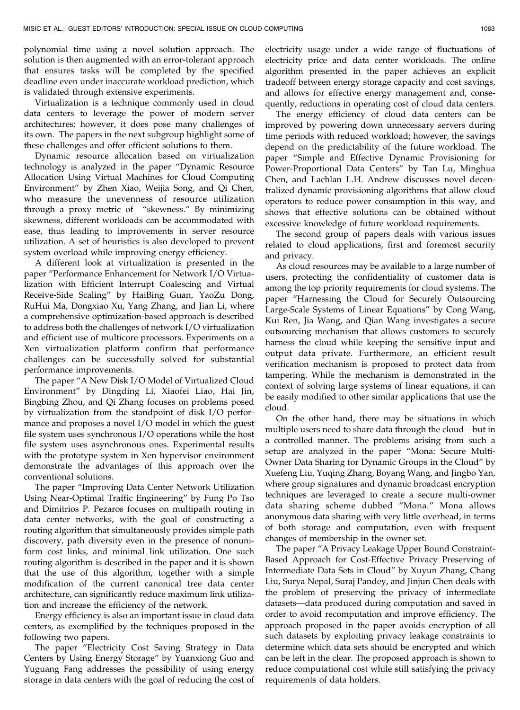polynomial time using a novel solution approach. The solution is then augmented with an error-tolerant approach that ensures tasks will be completed by the specified deadline even under inaccurate workload prediction, which is validated through extensive experiments.

Virtualization is a technique commonly used in cloud data centers to leverage the power of modern server architectures; however, it does pose many challenges of its own. The papers in the next subgroup highlight some of these challenges and offer efficient solutions to them.

Dynamic resource allocation based on virtualization technology is analyzed in the paper "Dynamic Resource Allocation Using Virtual Machines for Cloud Computing Environment" by Zhen Xiao, Weijia Song, and Qi Chen, who measure the unevenness of resource utilization through a proxy metric of "skewness." By minimizing skewness, different workloads can be accommodated with ease, thus leading to improvements in server resource utilization. A set of heuristics is also developed to prevent system overload while improving energy efficiency.

A different look at virtualization is presented in the paper "Performance Enhancement for Network I/O Virtualization with Efficient Interrupt Coalescing and Virtual Receive-Side Scaling" by HaiBing Guan, YaoZu Dong, RuHui Ma, Dongxiao Xu, Yang Zhang, and Jian Li, where a comprehensive optimization-based approach is described to address both the challenges of network I/O virtualization and efficient use of multicore processors. Experiments on a Xen virtualization platform confirm that performance challenges can be successfully solved for substantial performance improvements.

The paper "A New Disk I/O Model of Virtualized Cloud Environment" by Dingding Li, Xiaofei Liao, Hai Jin, Bingbing Zhou, and Qi Zhang focuses on problems posed by virtualization from the standpoint of disk I/O performance and proposes a novel I/O model in which the guest file system uses synchronous I/O operations while the host file system uses asynchronous ones. Experimental results with the prototype system in Xen hypervisor environment demonstrate the advantages of this approach over the conventional solutions.

The paper "Improving Data Center Network Utilization Using Near-Optimal Traffic Engineering" by Fung Po Tso and Dimitrios P. Pezaros focuses on multipath routing in data center networks, with the goal of constructing a routing algorithm that simultaneously provides simple path discovery, path diversity even in the presence of nonuniform cost links, and minimal link utilization. One such routing algorithm is described in the paper and it is shown that the use of this algorithm, together with a simple modification of the current canonical tree data center architecture, can significantly reduce maximum link utilization and increase the efficiency of the network.

Energy efficiency is also an important issue in cloud data centers, as exemplified by the techniques proposed in the following two papers.

The paper "Electricity Cost Saving Strategy in Data Centers by Using Energy Storage" by Yuanxiong Guo and Yuguang Fang addresses the possibility of using energy storage in data centers with the goal of reducing the cost of

electricity usage under a wide range of fluctuations of electricity price and data center workloads. The online algorithm presented in the paper achieves an explicit tradeoff between energy storage capacity and cost savings, and allows for effective energy management and, consequently, reductions in operating cost of cloud data centers.

The energy efficiency of cloud data centers can be improved by powering down unnecessary servers during time periods with reduced workload; however, the savings depend on the predictability of the future workload. The paper "Simple and Effective Dynamic Provisioning for Power-Proportional Data Centers" by Tan Lu, Minghua Chen, and Lachlan L.H. Andrew discusses novel decentralized dynamic provisioning algorithms that allow cloud operators to reduce power consumption in this way, and shows that effective solutions can be obtained without excessive knowledge of future workload requirements.

The second group of papers deals with various issues related to cloud applications, first and foremost security and privacy.

As cloud resources may be available to a large number of users, protecting the confidentiality of customer data is among the top priority requirements for cloud systems. The paper "Harnessing the Cloud for Securely Outsourcing Large-Scale Systems of Linear Equations" by Cong Wang, Kui Ren, Jia Wang, and Qian Wang investigates a secure outsourcing mechanism that allows customers to securely harness the cloud while keeping the sensitive input and output data private. Furthermore, an efficient result verification mechanism is proposed to protect data from tampering. While the mechanism is demonstrated in the context of solving large systems of linear equations, it can be easily modified to other similar applications that use the cloud.

On the other hand, there may be situations in which multiple users need to share data through the cloud—but in a controlled manner. The problems arising from such a setup are analyzed in the paper "Mona: Secure Multi-Owner Data Sharing for Dynamic Groups in the Cloud" by Xuefeng Liu, Yuqing Zhang, Boyang Wang, and Jingbo Yan, where group signatures and dynamic broadcast encryption techniques are leveraged to create a secure multi-owner data sharing scheme dubbed "Mona." Mona allows anonymous data sharing with very little overhead, in terms of both storage and computation, even with frequent changes of membership in the owner set.

The paper "A Privacy Leakage Upper Bound Constraint-Based Approach for Cost-Effective Privacy Preserving of Intermediate Data Sets in Cloud" by Xuyun Zhang, Chang Liu, Surya Nepal, Suraj Pandey, and Jinjun Chen deals with the problem of preserving the privacy of intermediate datasets—data produced during computation and saved in order to avoid recomputation and improve efficiency. The approach proposed in the paper avoids encryption of all such datasets by exploiting privacy leakage constraints to determine which data sets should be encrypted and which can be left in the clear. The proposed approach is shown to reduce computational cost while still satisfying the privacy requirements of data holders.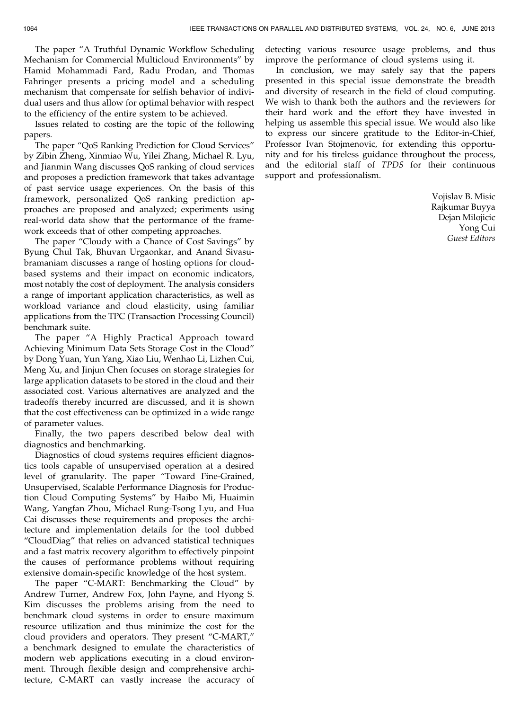The paper "A Truthful Dynamic Workflow Scheduling Mechanism for Commercial Multicloud Environments" by Hamid Mohammadi Fard, Radu Prodan, and Thomas Fahringer presents a pricing model and a scheduling mechanism that compensate for selfish behavior of individual users and thus allow for optimal behavior with respect to the efficiency of the entire system to be achieved.

Issues related to costing are the topic of the following papers.

The paper "QoS Ranking Prediction for Cloud Services" by Zibin Zheng, Xinmiao Wu, Yilei Zhang, Michael R. Lyu, and Jianmin Wang discusses QoS ranking of cloud services and proposes a prediction framework that takes advantage of past service usage experiences. On the basis of this framework, personalized QoS ranking prediction approaches are proposed and analyzed; experiments using real-world data show that the performance of the framework exceeds that of other competing approaches.

The paper "Cloudy with a Chance of Cost Savings" by Byung Chul Tak, Bhuvan Urgaonkar, and Anand Sivasubramaniam discusses a range of hosting options for cloudbased systems and their impact on economic indicators, most notably the cost of deployment. The analysis considers a range of important application characteristics, as well as workload variance and cloud elasticity, using familiar applications from the TPC (Transaction Processing Council) benchmark suite.

The paper "A Highly Practical Approach toward Achieving Minimum Data Sets Storage Cost in the Cloud" by Dong Yuan, Yun Yang, Xiao Liu, Wenhao Li, Lizhen Cui, Meng Xu, and Jinjun Chen focuses on storage strategies for large application datasets to be stored in the cloud and their associated cost. Various alternatives are analyzed and the tradeoffs thereby incurred are discussed, and it is shown that the cost effectiveness can be optimized in a wide range of parameter values.

Finally, the two papers described below deal with diagnostics and benchmarking.

Diagnostics of cloud systems requires efficient diagnostics tools capable of unsupervised operation at a desired level of granularity. The paper "Toward Fine-Grained, Unsupervised, Scalable Performance Diagnosis for Production Cloud Computing Systems" by Haibo Mi, Huaimin Wang, Yangfan Zhou, Michael Rung-Tsong Lyu, and Hua Cai discusses these requirements and proposes the architecture and implementation details for the tool dubbed "CloudDiag" that relies on advanced statistical techniques and a fast matrix recovery algorithm to effectively pinpoint the causes of performance problems without requiring extensive domain-specific knowledge of the host system.

The paper "C-MART: Benchmarking the Cloud" by Andrew Turner, Andrew Fox, John Payne, and Hyong S. Kim discusses the problems arising from the need to benchmark cloud systems in order to ensure maximum resource utilization and thus minimize the cost for the cloud providers and operators. They present "C-MART," a benchmark designed to emulate the characteristics of modern web applications executing in a cloud environment. Through flexible design and comprehensive architecture, C-MART can vastly increase the accuracy of detecting various resource usage problems, and thus improve the performance of cloud systems using it.

In conclusion, we may safely say that the papers presented in this special issue demonstrate the breadth and diversity of research in the field of cloud computing. We wish to thank both the authors and the reviewers for their hard work and the effort they have invested in helping us assemble this special issue. We would also like to express our sincere gratitude to the Editor-in-Chief, Professor Ivan Stojmenovic, for extending this opportunity and for his tireless guidance throughout the process, and the editorial staff of TPDS for their continuous support and professionalism.

> Vojislav B. Misic Rajkumar Buyya Dejan Milojicic Yong Cui Guest Editors